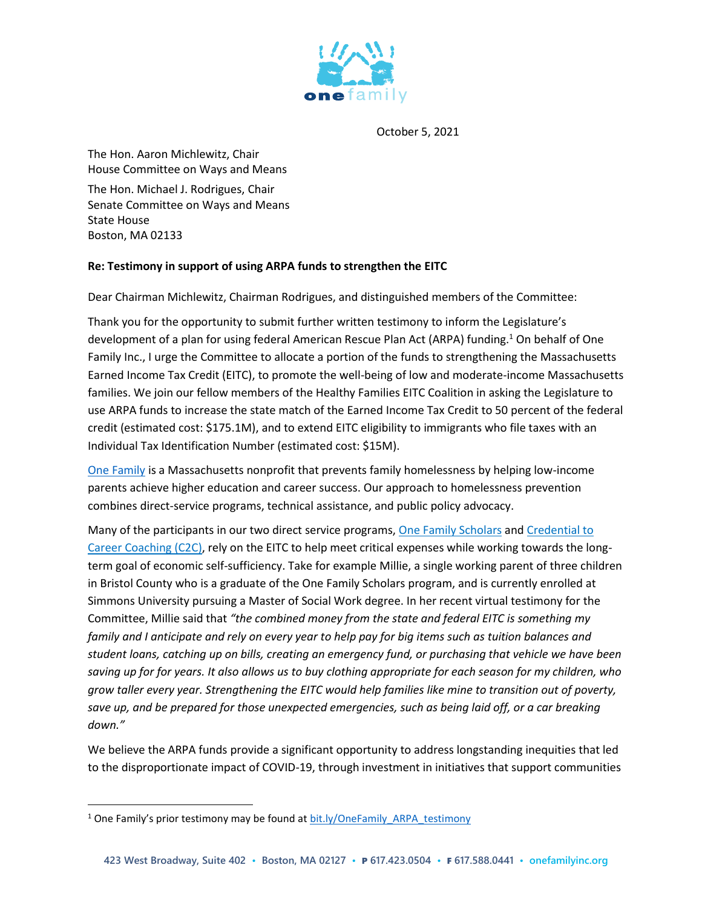

October 5, 2021

The Hon. Aaron Michlewitz, Chair House Committee on Ways and Means The Hon. Michael J. Rodrigues, Chair Senate Committee on Ways and Means State House Boston, MA 02133

## **Re: Testimony in support of using ARPA funds to strengthen the EITC**

Dear Chairman Michlewitz, Chairman Rodrigues, and distinguished members of the Committee:

Thank you for the opportunity to submit further written testimony to inform the Legislature's development of a plan for using federal American Rescue Plan Act (ARPA) funding.<sup>1</sup> On behalf of One Family Inc., I urge the Committee to allocate a portion of the funds to strengthening the Massachusetts Earned Income Tax Credit (EITC), to promote the well-being of low and moderate-income Massachusetts families. We join our fellow members of the Healthy Families EITC Coalition in asking the Legislature to use ARPA funds to increase the state match of the Earned Income Tax Credit to 50 percent of the federal credit (estimated cost: \$175.1M), and to extend EITC eligibility to immigrants who file taxes with an Individual Tax Identification Number (estimated cost: \$15M).

[One Family](https://www.onefamilyinc.org/) is a Massachusetts nonprofit that prevents family homelessness by helping low-income parents achieve higher education and career success. Our approach to homelessness prevention combines direct-service programs, technical assistance, and public policy advocacy.

Many of the participants in our two direct service programs, [One Family Scholars](https://www.onefamilyinc.org/scholars) an[d Credential to](https://www.onefamilyinc.org/c2c)  [Career Coaching \(C2C\),](https://www.onefamilyinc.org/c2c) rely on the EITC to help meet critical expenses while working towards the longterm goal of economic self-sufficiency. Take for example Millie, a single working parent of three children in Bristol County who is a graduate of the One Family Scholars program, and is currently enrolled at Simmons University pursuing a Master of Social Work degree. In her recent virtual testimony for the Committee, Millie said that *"the combined money from the state and federal EITC is something my family and I anticipate and rely on every year to help pay for big items such as tuition balances and student loans, catching up on bills, creating an emergency fund, or purchasing that vehicle we have been saving up for for years. It also allows us to buy clothing appropriate for each season for my children, who grow taller every year. Strengthening the EITC would help families like mine to transition out of poverty, save up, and be prepared for those unexpected emergencies, such as being laid off, or a car breaking down."*

We believe the ARPA funds provide a significant opportunity to address longstanding inequities that led to the disproportionate impact of COVID-19, through investment in initiatives that support communities

 $\overline{a}$ 

<sup>&</sup>lt;sup>1</sup> One Family's prior testimony may be found at [bit.ly/OneFamily\\_ARPA\\_testimony](https://bit.ly/OneFamily_ARPA_testimony)